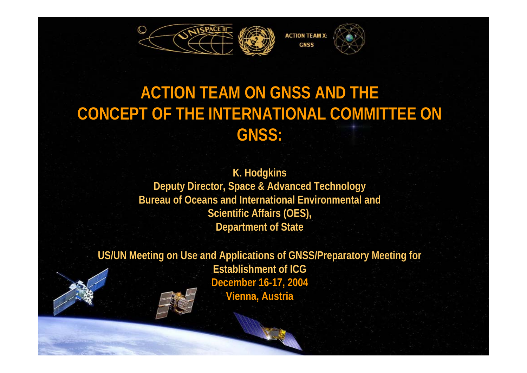

#### **ACTION TEAM ON GNSS AND THE CONCEPT OF THE INTERNATIONAL COMMITTEE ON GNSS:**

#### **K. Hodgkins Deputy Director, Space & Advanced Technology Bureau of Oceans and International Environmental and Scientific Affairs (OES), Department of State**

**US/UN Meeting on Use and Applications of GNSS/Preparatory Meeting for Establishment of ICG December 16-17, 2004 Vienna, Austria**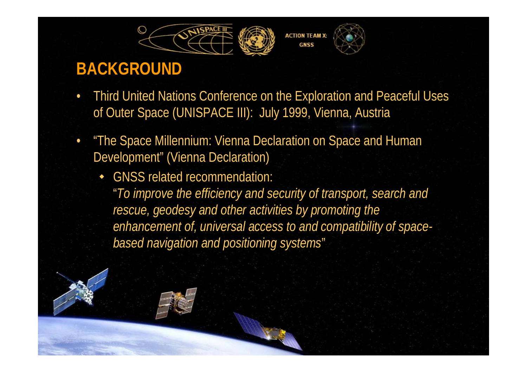





- • Third United Nations Conference on the Exploration and Peaceful Uses of Outer Space (UNISPACE III): July 1999, Vienna, Austria
- • "The Space Millennium: Vienna Declaration on Space and Human Development" (Vienna Declaration)
	- GNSS related recommendation: "*To improve the efficiency and security of transport, search and rescue, geodesy and other activities by promoting the enhancement of, universal access to and compatibility of spacebased navigation and positioning systems*"

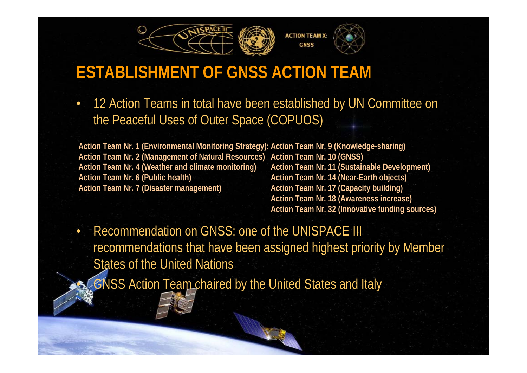

### **ESTABLISHMENT OF GNSS ACTION TEAM**

• 12 Action Teams in total have been established by UN Committee on the Peaceful Uses of Outer Space (COPUOS)

**Action Team Nr. 1 (Environmental Monitoring Strategy); Action Team Nr. 9 (Knowledge-sharing) Action Team Nr. 2 (Management of Natural Resources) Action Team Nr. 10 (GNSS) Action Team Nr. 4 (Weather and climate monitoring) Action Team Nr. 6 (Public health) Action Team Nr. 7 (Disaster management) Action Team Nr. 11 (Sustainable Development) Action Team Nr. 14 (Near-Earth objects) Action Team Nr. 17 (Capacity building)**

**Action Team Nr. 18 (Awareness increase) Action Team Nr. 32 (Innovative funding sources)**

• Recommendation on GNSS: one of the UNISPACE III recommendations that have been assigned highest priority by Member States of the United Nations

GNSS Action Team chaired by the United States and Italy

•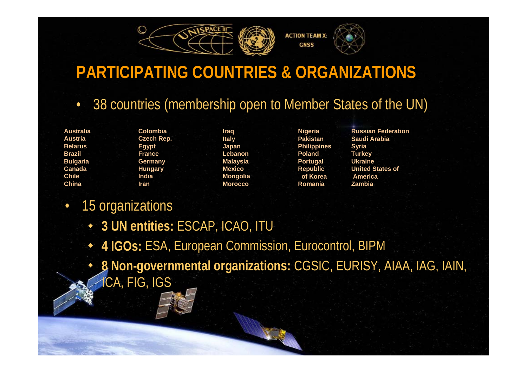

#### **PARTICIPATING COUNTRIES & ORGANIZATIONS**

- •38 countries (membership open to Member States of the UN)
- **AustraliaAustriaBelarusBrazilBulgaria CanadaChileChina**

**ColombiaCzech Rep. Egypt FranceGermany Hungary IndiaIran**

**Iraq Italy Japan LebanonMalaysia MexicoMongolia Morocco**

**Nigeria PakistanPhilippines PolandPortugal Republic of KoreaRomania**

**Russian FederationSaudi ArabiaSyria Turkey UkraineUnited States of AmericaZambia**

#### $\bullet$ 15 organizations

- **3 UN entities:** ESCAP, ICAO, ITU
- $\blacklozenge$ **4 IGOs:** ESA, European Commission, Eurocontrol, BIPM
- $\blacklozenge$  **8 Non-governmental organizations:** CGSIC, EURISY, AIAA, IAG, IAIN, ICA, FIG, IGS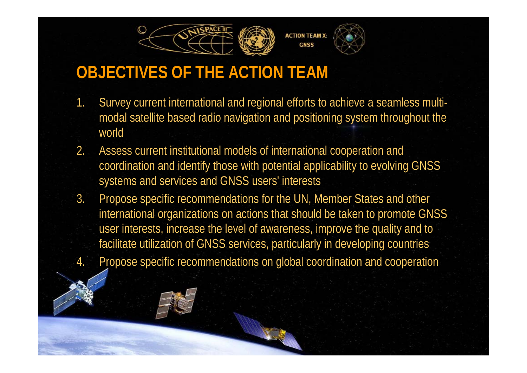



### **OBJECTIVES OF THE ACTION TEAM**

- 1. Survey current international and regional efforts to achieve a seamless multimodal satellite based radio navigation and positioning system throughout the world
- 2. Assess current institutional models of international cooperation and coordination and identify those with potential applicability to evolving GNSS systems and services and GNSS users' interests
- 3. Propose specific recommendations for the UN, Member States and other international organizations on actions that should be taken to promote GNSS user interests, increase the level of awareness, improve the quality and to facilitate utilization of GNSS services, particularly in developing countries 4. Propose specific recommendations on global coordination and cooperation

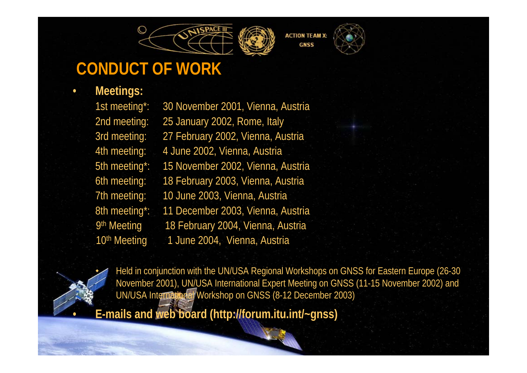





## **CONDUCT OF WORK**

**Meetings:**

٠

•

•

1st meeting\*: 30 November 2001, Vienna, Austria 2nd meeting: 25 January 2002, Rome, Italy 3rd meeting: 27 February 2002, Vienna, Austria 4th meeting: 4 June 2002, Vienna, Austria 5th meeting\*: 15 November 2002, Vienna, Austria 6th meeting: 18 February 2003, Vienna, Austria 7th meeting: 10 June 2003, Vienna, Austria 8th meeting\*: 11 December 2003, Vienna, Austria 9<sup>th</sup> Meeting 18 February 2004, Vienna, Austria 10<sup>th</sup> Meeting 1 June 2004, Vienna, Austria

 Held in conjunction with the UN/USA Regional Workshops on GNSS for Eastern Europe (26-30 November 2001), UN/USA International Expert Meeting on GNSS (11-15 November 2002) and UN/USA International Workshop on GNSS (8-12 December 2003)

**E-mails and web board (http://forum.itu.int/~gnss)**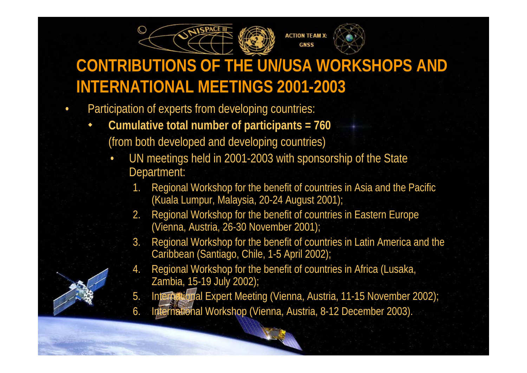



## **CONTRIBUTIONS OF THE UN/USA WORKSHOPS AND INTERNATIONAL MEETINGS 2001-2003**

- • Participation of experts from developing countries:
	- $\blacklozenge$  **Cumulative total number of participants = 760** (from both developed and developing countries)
		- • UN meetings held in 2001-2003 with sponsorship of the State Department:
			- 1. Regional Workshop for the benefit of countries in Asia and the Pacific (Kuala Lumpur, Malaysia, 20-24 August 2001);
			- 2. Regional Workshop for the benefit of countries in Eastern Europe (Vienna, Austria, 26-30 November 2001);
			- 3. Regional Workshop for the benefit of countries in Latin America and the Caribbean (Santiago, Chile, 1-5 April 2002);
			- 4. Regional Workshop for the benefit of countries in Africa (Lusaka, Zambia, 15-19 July 2002);
			- 5. International Expert Meeting (Vienna, Austria, 11-15 November 2002);
			- 6. International Workshop (Vienna, Austria, 8-12 December 2003).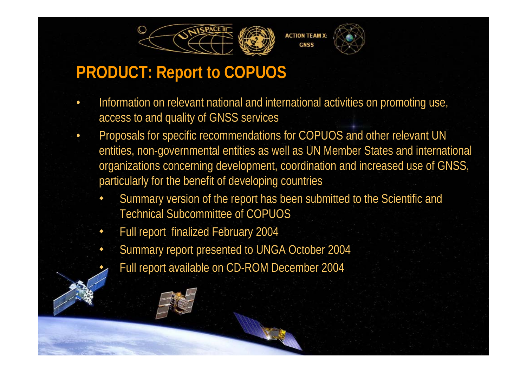

#### **PRODUCT: Report to COPUOS**

- • Information on relevant national and international activities on promoting use, access to and quality of GNSS services
- • Proposals for specific recommendations for COPUOS and other relevant UN entities, non-governmental entities as well as UN Member States and international organizations concerning development, coordination and increased use of GNSS, particularly for the benefit of developing countries
	- ٠ Summary version of the report has been submitted to the Scientific and Technical Subcommittee of COPUOS
	- ٠ Full report finalized February 2004
	- ٠ Summary report presented to UNGA October 2004
		- Full report available on CD-ROM December 2004



٠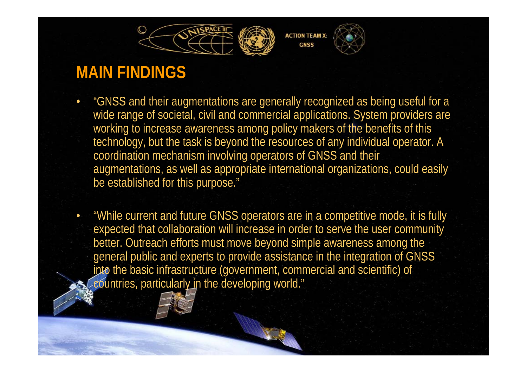



#### **MAIN FINDINGS**

- $\bullet$  "GNSS and their augmentations are generally recognized as being useful for a wide range of societal, civil and commercial applications. System providers are working to increase awareness among policy makers of the benefits of this technology, but the task is beyond the resources of any individual operator. A coordination mechanism involving operators of GNSS and their augmentations, as well as appropriate international organizations, could easily be established for this purpose."
- • "While current and future GNSS operators are in a competitive mode, it is fully expected that collaboration will increase in order to serve the user community better. Outreach efforts must move beyond simple awareness among the general public and experts to provide assistance in the integration of GNSS into the basic infrastructure (government, commercial and scientific) of eountries, particularly in the developing world."

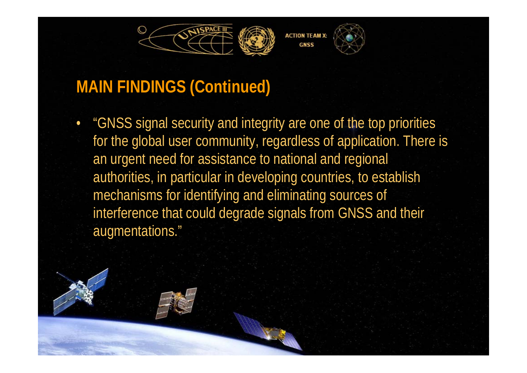



#### **MAIN FINDINGS (Continued)**

• "GNSS signal security and integrity are one of the top priorities for the global user community, regardless of application. There is an urgent need for assistance to national and regional authorities, in particular in developing countries, to establish mechanisms for identifying and eliminating sources of interference that could degrade signals from GNSS and their augmentations."

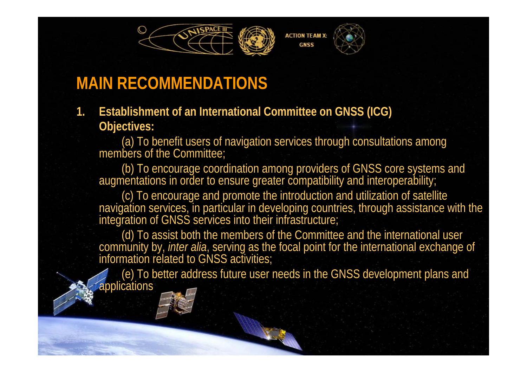



#### **MAIN RECOMMENDATIONS**

**1. Establishment of an International Committee on GNSS (ICG) Objectives:**

(a) To benefit users of navigation services through consultations among members of the Committee;

(b) To encourage coordination among providers of GNSS core systems and augmentations in order to ensure greater compatibility and interoperability;

(c) To encourage and promote the introduction and utilization of satellite navigation services, in particular in developing countries, through assistance with the integration of GNSS services into their infrastructure;

(d) To assist both the members of the Committee and the international user community by, *inter alia*, serving as the focal point for the international exchange of information related to GNSS activities;

(e) To better address future user needs in the GNSS development plans and **applications**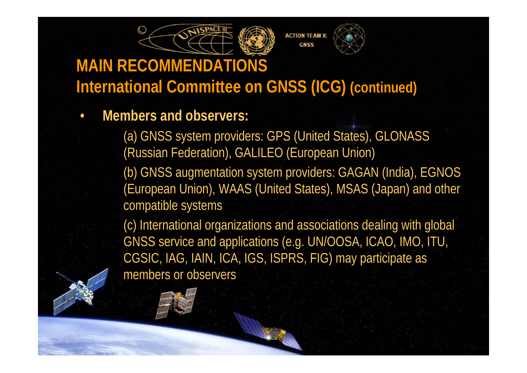



#### **MAIN RECOMMENDATIONS International Committee on GNSS (ICG) (continued)**

•**Members and observers:**

> (a) GNSS system providers: GPS (United States), GLONASS (Russian Federation), GALILEO (European Union)

(b) GNSS augmentation system providers: GAGAN (India), EGNOS (European Union), WAAS (United States), MSAS (Japan) and other compatible systems

(c) International organizations and associations dealing with global GNSS service and applications (e.g. UN/OOSA, ICAO, IMO, ITU, CGSIC, IAG, IAIN, ICA, IGS, ISPRS, FIG) may participate as members or observers

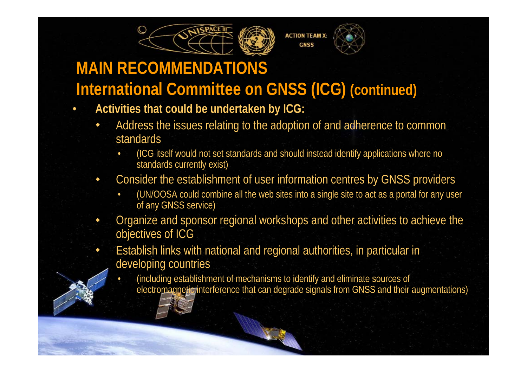

# **MAIN RECOMMENDATIONS**

 $\bullet$ 

٠

•

## **International Committee on GNSS (ICG) (continued)**

- **Activities that could be undertaken by ICG:**
	- ٠ Address the issues relating to the adoption of and adherence to common standards
		- • (ICG itself would not set standards and should instead identify applications where no standards currently exist)
	- ٠ Consider the establishment of user information centres by GNSS providers
		- • (UN/OOSA could combine all the web sites into a single site to act as a portal for any user of any GNSS service)
	- ٠ Organize and sponsor regional workshops and other activities to achieve the objectives of ICG
		- Establish links with national and regional authorities, in particular in developing countries
			- (including establishment of mechanisms to identify and eliminate sources of electromagnetic interference that can degrade signals from GNSS and their augmentations)